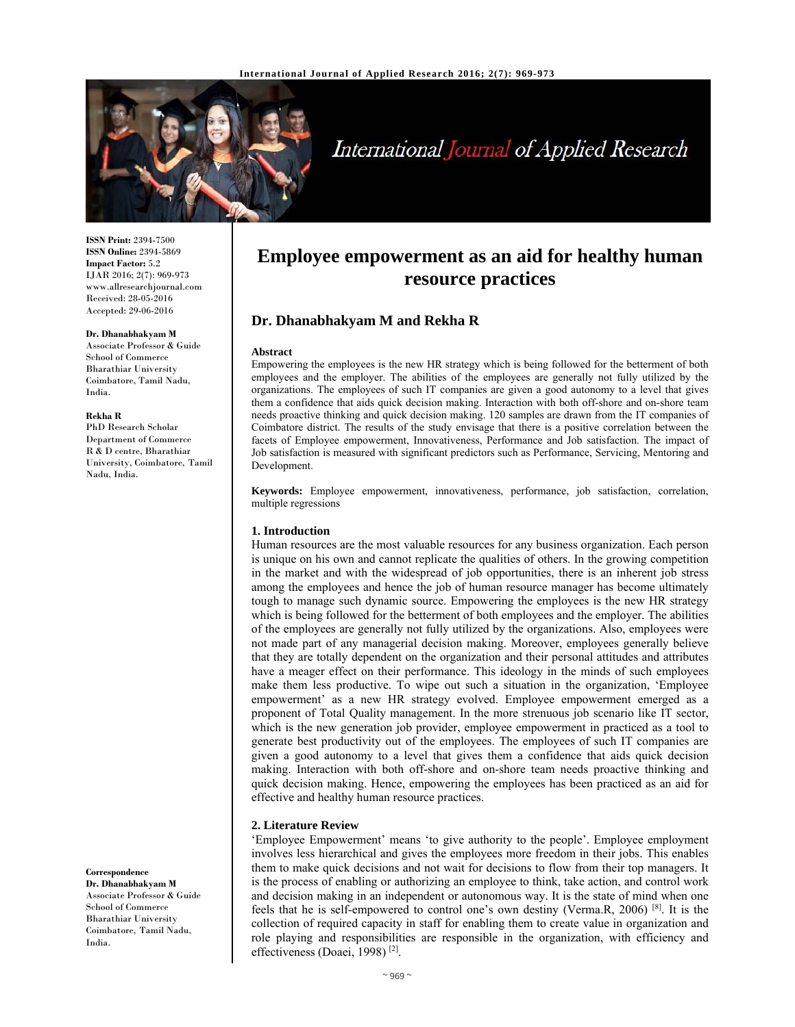

# International Journal of Applied Research

**ISSN Print:** 2394-7500 **ISSN Online:** 2394-5869 **Impact Factor:** 5.2 IJAR 2016; 2(7): 969-973 www.allresearchjournal.com Received: 28-05-2016 Accepted: 29-06-2016

#### **Dr. Dhanabhakyam M**

Associate Professor & Guide School of Commerce Bharathiar University Coimbatore, Tamil Nadu, India.

#### **Rekha R**

PhD Research Scholar Department of Commerce R & D centre, Bharathiar University, Coimbatore, Tamil Nadu, India.

**Correspondence**

**Dr. Dhanabhakyam M**  Associate Professor & Guide School of Commerce Bharathiar University Coimbatore, Tamil Nadu, India.

## **Employee empowerment as an aid for healthy human resource practices**

## **Dr. Dhanabhakyam M and Rekha R**

#### **Abstract**

Empowering the employees is the new HR strategy which is being followed for the betterment of both employees and the employer. The abilities of the employees are generally not fully utilized by the organizations. The employees of such IT companies are given a good autonomy to a level that gives them a confidence that aids quick decision making. Interaction with both off-shore and on-shore team needs proactive thinking and quick decision making. 120 samples are drawn from the IT companies of Coimbatore district. The results of the study envisage that there is a positive correlation between the facets of Employee empowerment, Innovativeness, Performance and Job satisfaction. The impact of Job satisfaction is measured with significant predictors such as Performance, Servicing, Mentoring and Development.

**Keywords:** Employee empowerment, innovativeness, performance, job satisfaction, correlation, multiple regressions

#### **1. Introduction**

Human resources are the most valuable resources for any business organization. Each person is unique on his own and cannot replicate the qualities of others. In the growing competition in the market and with the widespread of job opportunities, there is an inherent job stress among the employees and hence the job of human resource manager has become ultimately tough to manage such dynamic source. Empowering the employees is the new HR strategy which is being followed for the betterment of both employees and the employer. The abilities of the employees are generally not fully utilized by the organizations. Also, employees were not made part of any managerial decision making. Moreover, employees generally believe that they are totally dependent on the organization and their personal attitudes and attributes have a meager effect on their performance. This ideology in the minds of such employees make them less productive. To wipe out such a situation in the organization, 'Employee empowerment' as a new HR strategy evolved. Employee empowerment emerged as a proponent of Total Quality management. In the more strenuous job scenario like IT sector, which is the new generation job provider, employee empowerment in practiced as a tool to generate best productivity out of the employees. The employees of such IT companies are given a good autonomy to a level that gives them a confidence that aids quick decision making. Interaction with both off-shore and on-shore team needs proactive thinking and quick decision making. Hence, empowering the employees has been practiced as an aid for effective and healthy human resource practices.

#### **2. Literature Review**

'Employee Empowerment' means 'to give authority to the people'. Employee employment involves less hierarchical and gives the employees more freedom in their jobs. This enables them to make quick decisions and not wait for decisions to flow from their top managers. It is the process of enabling or authorizing an employee to think, take action, and control work and decision making in an independent or autonomous way. It is the state of mind when one feels that he is self-empowered to control one's own destiny (Verma.R, 2006)  $^{[8]}$ . It is the collection of required capacity in staff for enabling them to create value in organization and role playing and responsibilities are responsible in the organization, with efficiency and effectiveness (Doaei, 1998) [2].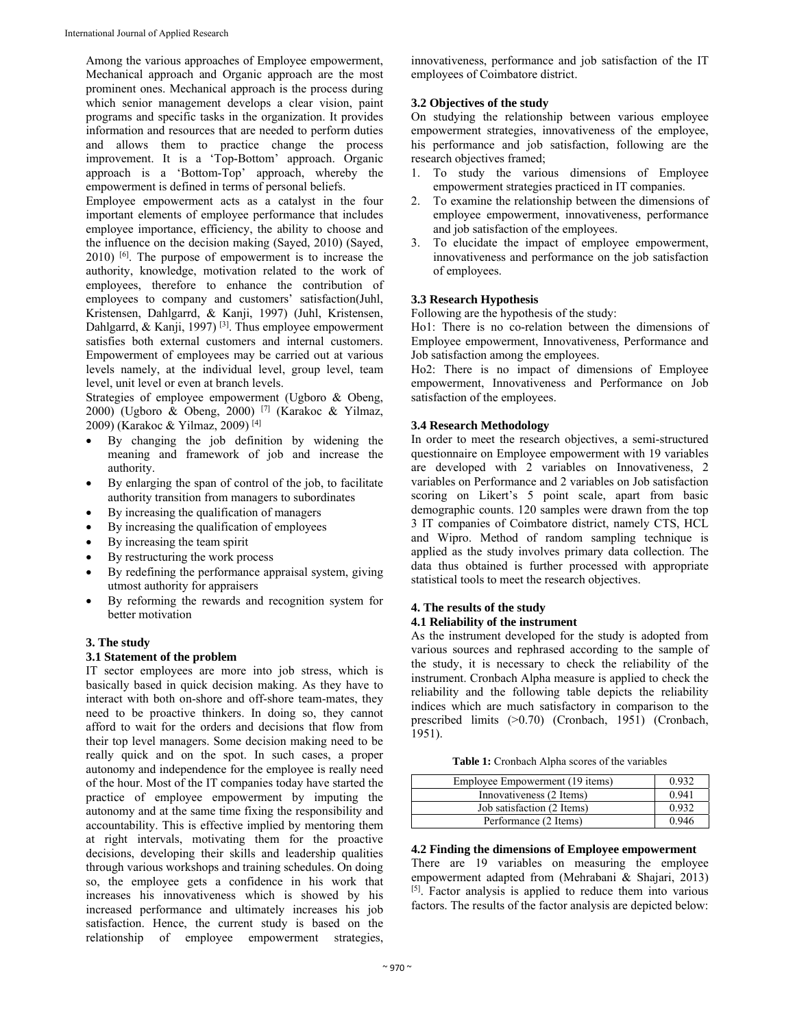Among the various approaches of Employee empowerment, Mechanical approach and Organic approach are the most prominent ones. Mechanical approach is the process during which senior management develops a clear vision, paint programs and specific tasks in the organization. It provides information and resources that are needed to perform duties and allows them to practice change the process improvement. It is a 'Top-Bottom' approach. Organic approach is a 'Bottom-Top' approach, whereby the empowerment is defined in terms of personal beliefs.

Employee empowerment acts as a catalyst in the four important elements of employee performance that includes employee importance, efficiency, the ability to choose and the influence on the decision making (Sayed, 2010) (Sayed, 2010) [6]. The purpose of empowerment is to increase the authority, knowledge, motivation related to the work of employees, therefore to enhance the contribution of employees to company and customers' satisfaction(Juhl, Kristensen, Dahlgarrd, & Kanji, 1997) (Juhl, Kristensen, Dahlgarrd, & Kanji, 1997)<sup>[3]</sup>. Thus employee empowerment satisfies both external customers and internal customers. Empowerment of employees may be carried out at various levels namely, at the individual level, group level, team level, unit level or even at branch levels.

Strategies of employee empowerment (Ugboro & Obeng, 2000) (Ugboro & Obeng, 2000) [7] (Karakoc & Yilmaz, 2009) (Karakoc & Yilmaz, 2009) [4]

- By changing the job definition by widening the meaning and framework of job and increase the authority.
- By enlarging the span of control of the job, to facilitate authority transition from managers to subordinates
- By increasing the qualification of managers
- By increasing the qualification of employees
- By increasing the team spirit
- By restructuring the work process
- By redefining the performance appraisal system, giving utmost authority for appraisers
- By reforming the rewards and recognition system for better motivation

#### **3. The study**

#### **3.1 Statement of the problem**

IT sector employees are more into job stress, which is basically based in quick decision making. As they have to interact with both on-shore and off-shore team-mates, they need to be proactive thinkers. In doing so, they cannot afford to wait for the orders and decisions that flow from their top level managers. Some decision making need to be really quick and on the spot. In such cases, a proper autonomy and independence for the employee is really need of the hour. Most of the IT companies today have started the practice of employee empowerment by imputing the autonomy and at the same time fixing the responsibility and accountability. This is effective implied by mentoring them at right intervals, motivating them for the proactive decisions, developing their skills and leadership qualities through various workshops and training schedules. On doing so, the employee gets a confidence in his work that increases his innovativeness which is showed by his increased performance and ultimately increases his job satisfaction. Hence, the current study is based on the relationship of employee empowerment strategies,

innovativeness, performance and job satisfaction of the IT employees of Coimbatore district.

#### **3.2 Objectives of the study**

On studying the relationship between various employee empowerment strategies, innovativeness of the employee, his performance and job satisfaction, following are the research objectives framed;

- 1. To study the various dimensions of Employee empowerment strategies practiced in IT companies.
- 2. To examine the relationship between the dimensions of employee empowerment, innovativeness, performance and job satisfaction of the employees.
- 3. To elucidate the impact of employee empowerment, innovativeness and performance on the job satisfaction of employees.

## **3.3 Research Hypothesis**

Following are the hypothesis of the study:

Ho1: There is no co-relation between the dimensions of Employee empowerment, Innovativeness, Performance and Job satisfaction among the employees.

Ho2: There is no impact of dimensions of Employee empowerment, Innovativeness and Performance on Job satisfaction of the employees.

#### **3.4 Research Methodology**

In order to meet the research objectives, a semi-structured questionnaire on Employee empowerment with 19 variables are developed with 2 variables on Innovativeness, 2 variables on Performance and 2 variables on Job satisfaction scoring on Likert's 5 point scale, apart from basic demographic counts. 120 samples were drawn from the top 3 IT companies of Coimbatore district, namely CTS, HCL and Wipro. Method of random sampling technique is applied as the study involves primary data collection. The data thus obtained is further processed with appropriate statistical tools to meet the research objectives.

#### **4. The results of the study 4.1 Reliability of the instrument**

As the instrument developed for the study is adopted from various sources and rephrased according to the sample of the study, it is necessary to check the reliability of the instrument. Cronbach Alpha measure is applied to check the reliability and the following table depicts the reliability indices which are much satisfactory in comparison to the prescribed limits (>0.70) (Cronbach, 1951) (Cronbach, 1951).

| <b>Table 1:</b> Cronbach Alpha scores of the variables |  |
|--------------------------------------------------------|--|
|--------------------------------------------------------|--|

| Employee Empowerment (19 items) | 0.932 |
|---------------------------------|-------|
| Innovativeness (2 Items)        | 0.941 |
| Job satisfaction (2 Items)      | 0.932 |
| Performance (2 Items)           | 0.946 |
|                                 |       |

## **4.2 Finding the dimensions of Employee empowerment**

There are 19 variables on measuring the employee empowerment adapted from (Mehrabani & Shajari, 2013) [5]. Factor analysis is applied to reduce them into various factors. The results of the factor analysis are depicted below: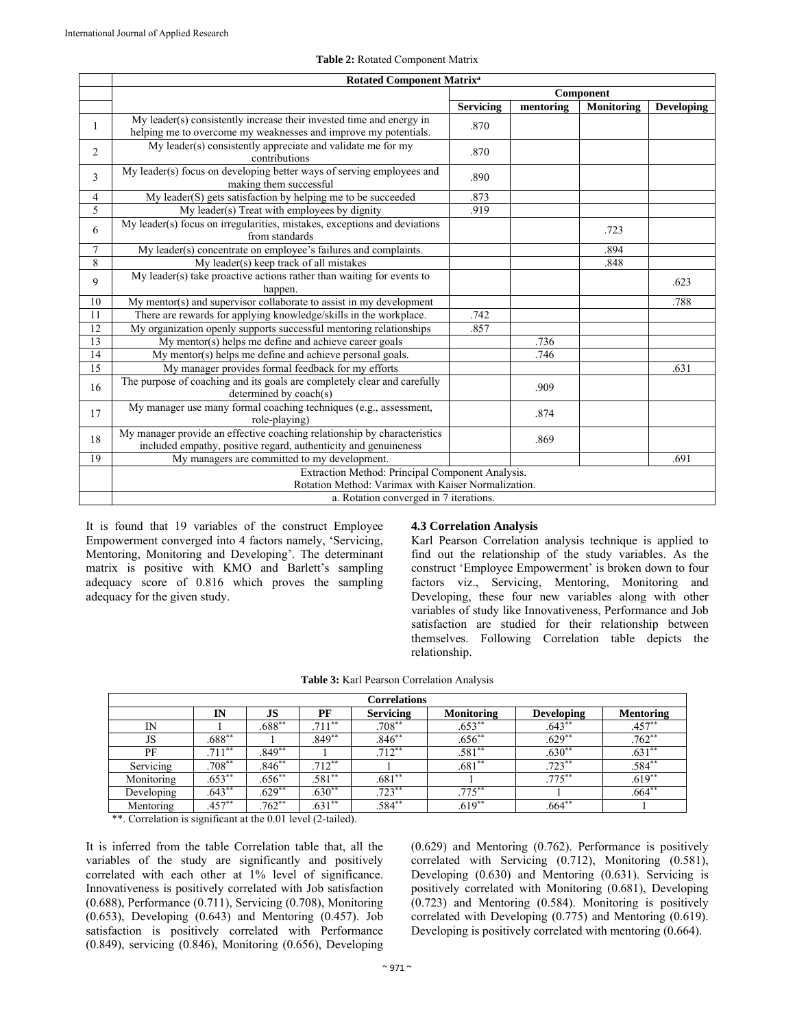|                 | <b>Rotated Component Matrix<sup>a</sup></b>                                                                                                 |                  |           |                   |                   |  |  |  |
|-----------------|---------------------------------------------------------------------------------------------------------------------------------------------|------------------|-----------|-------------------|-------------------|--|--|--|
|                 |                                                                                                                                             |                  |           | <b>Component</b>  |                   |  |  |  |
|                 |                                                                                                                                             | <b>Servicing</b> | mentoring | <b>Monitoring</b> | <b>Developing</b> |  |  |  |
| 1               | My leader(s) consistently increase their invested time and energy in<br>helping me to overcome my weaknesses and improve my potentials.     | .870             |           |                   |                   |  |  |  |
| $\overline{2}$  | My leader(s) consistently appreciate and validate me for my<br>contributions                                                                | .870             |           |                   |                   |  |  |  |
| 3               | My leader(s) focus on developing better ways of serving employees and<br>making them successful                                             | .890             |           |                   |                   |  |  |  |
| 4               | My leader(S) gets satisfaction by helping me to be succeeded                                                                                | .873             |           |                   |                   |  |  |  |
| 5               | My leader(s) Treat with employees by dignity                                                                                                | .919             |           |                   |                   |  |  |  |
| 6               | My leader(s) focus on irregularities, mistakes, exceptions and deviations<br>from standards                                                 |                  |           | .723              |                   |  |  |  |
| $\overline{7}$  | My leader(s) concentrate on employee's failures and complaints.                                                                             |                  |           | .894              |                   |  |  |  |
| 8               | My leader(s) keep track of all mistakes                                                                                                     |                  |           | .848              |                   |  |  |  |
| 9               | My leader( $s$ ) take proactive actions rather than waiting for events to<br>happen.                                                        |                  |           |                   | .623              |  |  |  |
| 10              | My mentor $(s)$ and supervisor collaborate to assist in my development                                                                      |                  |           |                   | .788              |  |  |  |
| 11              | There are rewards for applying knowledge/skills in the workplace.                                                                           | .742             |           |                   |                   |  |  |  |
| $\overline{12}$ | My organization openly supports successful mentoring relationships                                                                          | .857             |           |                   |                   |  |  |  |
| 13              | My mentor(s) helps me define and achieve career goals                                                                                       |                  | .736      |                   |                   |  |  |  |
| 14              | My mentor(s) helps me define and achieve personal goals.                                                                                    |                  | .746      |                   |                   |  |  |  |
| 15              | My manager provides formal feedback for my efforts                                                                                          |                  |           |                   | .631              |  |  |  |
| 16              | The purpose of coaching and its goals are completely clear and carefully<br>determined by coach(s)                                          |                  | .909      |                   |                   |  |  |  |
| 17              | My manager use many formal coaching techniques (e.g., assessment,<br>role-playing)                                                          |                  | .874      |                   |                   |  |  |  |
| 18              | My manager provide an effective coaching relationship by characteristics<br>included empathy, positive regard, authenticity and genuineness |                  | .869      |                   |                   |  |  |  |
| 19              | My managers are committed to my development.                                                                                                |                  |           |                   | .691              |  |  |  |
|                 | Extraction Method: Principal Component Analysis.                                                                                            |                  |           |                   |                   |  |  |  |
|                 | Rotation Method: Varimax with Kaiser Normalization.                                                                                         |                  |           |                   |                   |  |  |  |
|                 | a. Rotation converged in 7 iterations.                                                                                                      |                  |           |                   |                   |  |  |  |

#### **Table 2:** Rotated Component Matrix

It is found that 19 variables of the construct Employee Empowerment converged into 4 factors namely, 'Servicing, Mentoring, Monitoring and Developing'. The determinant matrix is positive with KMO and Barlett's sampling adequacy score of 0.816 which proves the sampling adequacy for the given study.

#### **4.3 Correlation Analysis**

Karl Pearson Correlation analysis technique is applied to find out the relationship of the study variables. As the construct 'Employee Empowerment' is broken down to four factors viz., Servicing, Mentoring, Monitoring and Developing, these four new variables along with other variables of study like Innovativeness, Performance and Job satisfaction are studied for their relationship between themselves. Following Correlation table depicts the relationship.

| <b>Correlations</b> |           |           |           |                  |                   |                   |                  |
|---------------------|-----------|-----------|-----------|------------------|-------------------|-------------------|------------------|
|                     | IN        | JS        | PF        | <b>Servicing</b> | <b>Monitoring</b> | <b>Developing</b> | <b>Mentoring</b> |
| $_{\rm IN}$         |           | $.688***$ | $.711***$ | $.708**$         | $.653***$         | $.643**$          | $.457**$         |
| JS                  | $.688***$ |           | $.849**$  | $.846**$         | $.656**$          | $.629**$          | $.762**$         |
| PF                  | $.711***$ | $.849**$  |           | $.712***$        | $.581**$          | $.630**$          | $.631**$         |
| Servicing           | $.708**$  | $.846**$  | $.712***$ |                  | $.681**$          | $.723***$         | $.584**$         |
| Monitoring          | $.653***$ | $.656***$ | $.581**$  | $.681**$         |                   | $.775***$         | $.619**$         |
| Developing          | $.643**$  | $.629**$  | $.630**$  | $.723**$         | $.775***$         |                   | $.664**$         |
| Mentoring           | $.457**$  | $.762**$  | $.631**$  | $.584**$         | $.619**$          | $.664***$         |                  |

\*\*. Correlation is significant at the 0.01 level (2-tailed).

It is inferred from the table Correlation table that, all the variables of the study are significantly and positively correlated with each other at 1% level of significance. Innovativeness is positively correlated with Job satisfaction (0.688), Performance (0.711), Servicing (0.708), Monitoring (0.653), Developing (0.643) and Mentoring (0.457). Job satisfaction is positively correlated with Performance (0.849), servicing (0.846), Monitoring (0.656), Developing (0.629) and Mentoring (0.762). Performance is positively correlated with Servicing (0.712), Monitoring (0.581), Developing (0.630) and Mentoring (0.631). Servicing is positively correlated with Monitoring (0.681), Developing (0.723) and Mentoring (0.584). Monitoring is positively correlated with Developing (0.775) and Mentoring (0.619). Developing is positively correlated with mentoring  $(0.664)$ .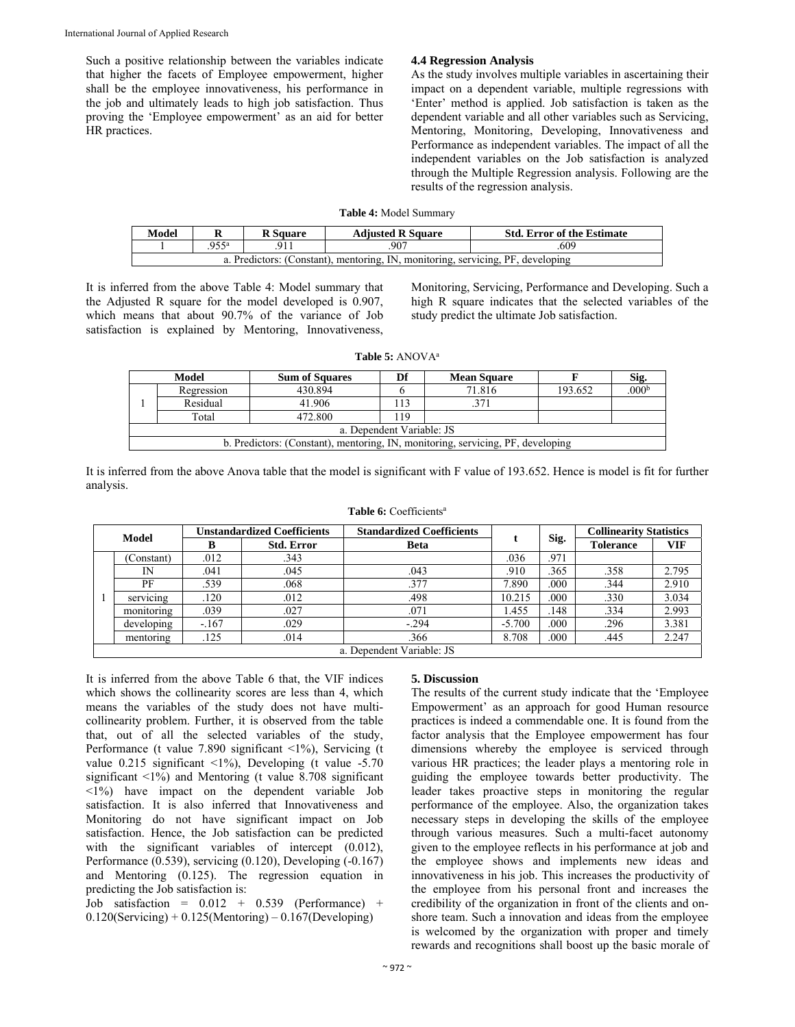Such a positive relationship between the variables indicate that higher the facets of Employee empowerment, higher shall be the employee innovativeness, his performance in the job and ultimately leads to high job satisfaction. Thus proving the 'Employee empowerment' as an aid for better HR practices.

#### **4.4 Regression Analysis**

As the study involves multiple variables in ascertaining their impact on a dependent variable, multiple regressions with 'Enter' method is applied. Job satisfaction is taken as the dependent variable and all other variables such as Servicing, Mentoring, Monitoring, Developing, Innovativeness and Performance as independent variables. The impact of all the independent variables on the Job satisfaction is analyzed through the Multiple Regression analysis. Following are the results of the regression analysis.

#### **Table 4:** Model Summary

| Model                                                                           | v              | <b>R</b> Square | <b>Adjusted R Square</b> | <b>Std. Error of the Estimate</b> |  |  |  |
|---------------------------------------------------------------------------------|----------------|-----------------|--------------------------|-----------------------------------|--|--|--|
|                                                                                 | $.955^{\rm a}$ |                 | .609                     |                                   |  |  |  |
| a. Predictors: (Constant), mentoring, IN, monitoring, servicing, PF, developing |                |                 |                          |                                   |  |  |  |

It is inferred from the above Table 4: Model summary that the Adjusted R square for the model developed is 0.907, which means that about 90.7% of the variance of Job satisfaction is explained by Mentoring, Innovativeness, Monitoring, Servicing, Performance and Developing. Such a high R square indicates that the selected variables of the study predict the ultimate Job satisfaction.

**Table 5:** ANOVAa

| Model                                                                           |            | <b>Sum of Squares</b> | Df  | <b>Mean Square</b> |         | Sig.              |  |  |
|---------------------------------------------------------------------------------|------------|-----------------------|-----|--------------------|---------|-------------------|--|--|
|                                                                                 | Regression | 430.894               |     | 71.816             | 193.652 | .000 <sup>k</sup> |  |  |
|                                                                                 | Residual   | 41.906                | .13 | 371                |         |                   |  |  |
|                                                                                 | Total      | 472.800               | 119 |                    |         |                   |  |  |
| a. Dependent Variable: JS                                                       |            |                       |     |                    |         |                   |  |  |
| b. Predictors: (Constant), mentoring, IN, monitoring, servicing, PF, developing |            |                       |     |                    |         |                   |  |  |

It is inferred from the above Anova table that the model is significant with F value of 193.652. Hence is model is fit for further analysis.

| <b>Model</b> |                           | <b>Unstandardized Coefficients</b> |                   | <b>Standardized Coefficients</b> |          |      | <b>Collinearity Statistics</b> |            |  |
|--------------|---------------------------|------------------------------------|-------------------|----------------------------------|----------|------|--------------------------------|------------|--|
|              |                           | в                                  | <b>Std. Error</b> | <b>Beta</b>                      |          | Sig. | <b>Tolerance</b>               | <b>VIF</b> |  |
|              | Constant)                 | .012                               | .343              |                                  | .036     | .971 |                                |            |  |
|              | IN                        | .041                               | .045              | .043                             | .910     | .365 | .358                           | 2.795      |  |
|              | PF                        | .539                               | .068              | .377                             | 7.890    | .000 | .344                           | 2.910      |  |
|              | $\ddotsc$<br>servicing    | .120                               | .012              | .498                             | 10.215   | .000 | .330                           | 3.034      |  |
|              | monitoring                | .039                               | .027              | .071                             | .455     | .148 | .334                           | 2.993      |  |
|              | developing                | $-.167$                            | .029              | $-.294$                          | $-5.700$ | .000 | .296                           | 3.381      |  |
|              | mentoring                 | .125                               | .014              | .366                             | 8.708    | .000 | .445                           | 2.247      |  |
|              | a. Dependent Variable: JS |                                    |                   |                                  |          |      |                                |            |  |

Table 6: Coefficients<sup>a</sup>

It is inferred from the above Table 6 that, the VIF indices which shows the collinearity scores are less than 4, which means the variables of the study does not have multicollinearity problem. Further, it is observed from the table that, out of all the selected variables of the study, Performance (t value 7.890 significant <1%), Servicing (t value  $0.215$  significant  $\langle 1\%$ ), Developing (t value -5.70 significant <1%) and Mentoring (t value 8.708 significant  $\langle 1\% \rangle$  have impact on the dependent variable Job satisfaction. It is also inferred that Innovativeness and Monitoring do not have significant impact on Job satisfaction. Hence, the Job satisfaction can be predicted with the significant variables of intercept (0.012), Performance (0.539), servicing (0.120), Developing (-0.167) and Mentoring (0.125). The regression equation in predicting the Job satisfaction is:

Job satisfaction =  $0.012 + 0.539$  (Performance) +  $0.120$ (Servicing) +  $0.125$ (Mentoring) –  $0.167$ (Developing)

#### **5. Discussion**

The results of the current study indicate that the 'Employee Empowerment' as an approach for good Human resource practices is indeed a commendable one. It is found from the factor analysis that the Employee empowerment has four dimensions whereby the employee is serviced through various HR practices; the leader plays a mentoring role in guiding the employee towards better productivity. The leader takes proactive steps in monitoring the regular performance of the employee. Also, the organization takes necessary steps in developing the skills of the employee through various measures. Such a multi-facet autonomy given to the employee reflects in his performance at job and the employee shows and implements new ideas and innovativeness in his job. This increases the productivity of the employee from his personal front and increases the credibility of the organization in front of the clients and onshore team. Such a innovation and ideas from the employee is welcomed by the organization with proper and timely rewards and recognitions shall boost up the basic morale of